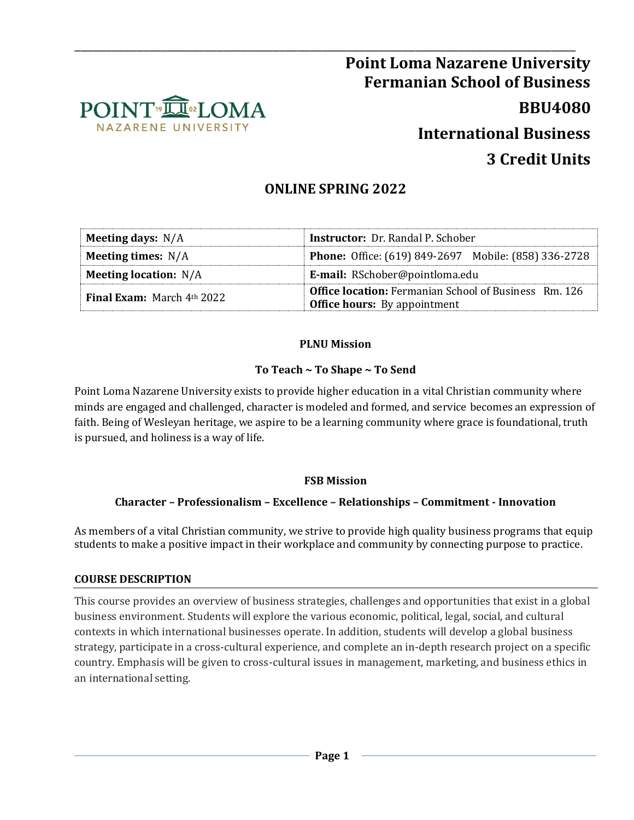

# \_\_\_\_\_\_\_\_\_\_\_\_\_\_\_\_\_\_\_\_\_\_\_\_\_\_\_\_\_\_\_\_\_\_\_\_\_\_\_\_\_\_\_\_\_\_\_\_\_\_\_\_\_\_\_\_\_\_\_\_\_\_\_\_\_\_\_\_\_\_\_\_\_\_\_\_\_\_\_\_\_ **Point Loma Nazarene University Fermanian School of Business BBU4080 International Business 3 Credit Units**

# **ONLINE SPRING 2022**

| <b>Meeting days:</b> $N/A$          | <b>Instructor:</b> Dr. Randal P. Schober                                                            |  |  |
|-------------------------------------|-----------------------------------------------------------------------------------------------------|--|--|
| <b>Meeting times:</b> $N/A$         | <b>Phone:</b> Office: (619) 849-2697 Mobile: (858) 336-2728                                         |  |  |
| <b>Meeting location: N/A</b>        | E-mail: RSchober@pointloma.edu                                                                      |  |  |
| <b>Final Exam:</b> March $4th 2022$ | <b>Office location:</b> Fermanian School of Business Rm. 126<br><b>Office hours:</b> By appointment |  |  |

## **PLNU Mission**

#### **To Teach ~ To Shape ~ To Send**

Point Loma Nazarene University exists to provide higher education in a vital Christian community where minds are engaged and challenged, character is modeled and formed, and service becomes an expression of faith. Being of Wesleyan heritage, we aspire to be a learning community where grace is foundational, truth is pursued, and holiness is a way of life.

#### **FSB Mission**

#### **Character – Professionalism – Excellence – Relationships – Commitment - Innovation**

As members of a vital Christian community, we strive to provide high quality business programs that equip students to make a positive impact in their workplace and community by connecting purpose to practice.

#### **COURSE DESCRIPTION**

This course provides an overview of business strategies, challenges and opportunities that exist in a global business environment. Students will explore the various economic, political, legal, social, and cultural contexts in which international businesses operate. In addition, students will develop a global business strategy, participate in a cross-cultural experience, and complete an in-depth research project on a specific country. Emphasis will be given to cross-cultural issues in management, marketing, and business ethics in an international setting.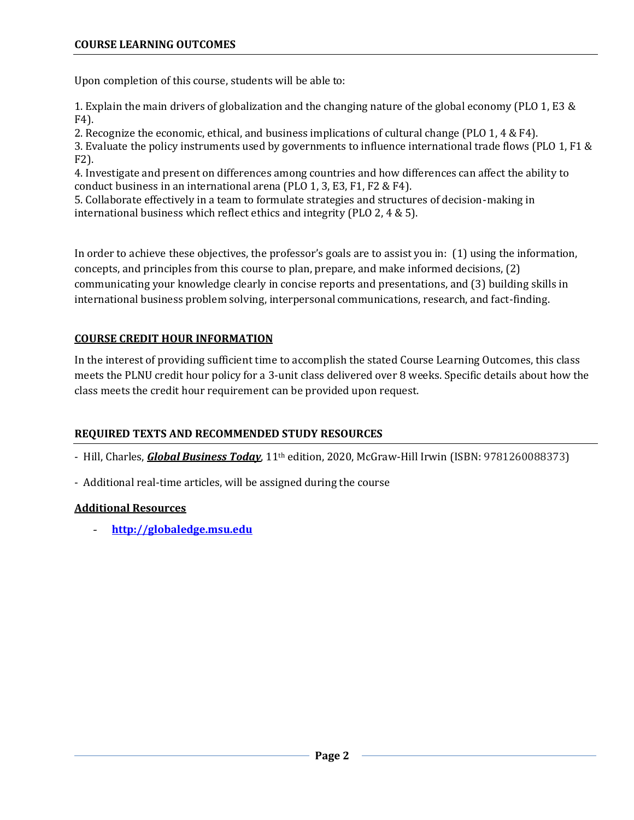Upon completion of this course, students will be able to:

1. Explain the main drivers of globalization and the changing nature of the global economy (PLO 1, E3 & F4).

2. Recognize the economic, ethical, and business implications of cultural change (PLO 1, 4 & F4).

3. Evaluate the policy instruments used by governments to influence international trade flows (PLO 1, F1 & F2).

4. Investigate and present on differences among countries and how differences can affect the ability to conduct business in an international arena (PLO 1, 3, E3, F1, F2 & F4).

5. Collaborate effectively in a team to formulate strategies and structures of decision-making in international business which reflect ethics and integrity (PLO 2, 4 & 5).

In order to achieve these objectives, the professor's goals are to assist you in: (1) using the information, concepts, and principles from this course to plan, prepare, and make informed decisions, (2) communicating your knowledge clearly in concise reports and presentations, and (3) building skills in international business problem solving, interpersonal communications, research, and fact-finding.

## **COURSE CREDIT HOUR INFORMATION**

In the interest of providing sufficient time to accomplish the stated Course Learning Outcomes, this class meets the PLNU credit hour policy for a 3-unit class delivered over 8 weeks. Specific details about how the class meets the credit hour requirement can be provided upon request.

## **REQUIRED TEXTS AND RECOMMENDED STUDY RESOURCES**

- Hill, Charles, *Global Business Today*, 11th edition, 2020, McGraw-Hill Irwin (ISBN: 9781260088373)

- Additional real-time articles, will be assigned during the course

#### **Additional Resources**

- **[http://globaledge.msu.edu](http://globaledge.msu.edu/)**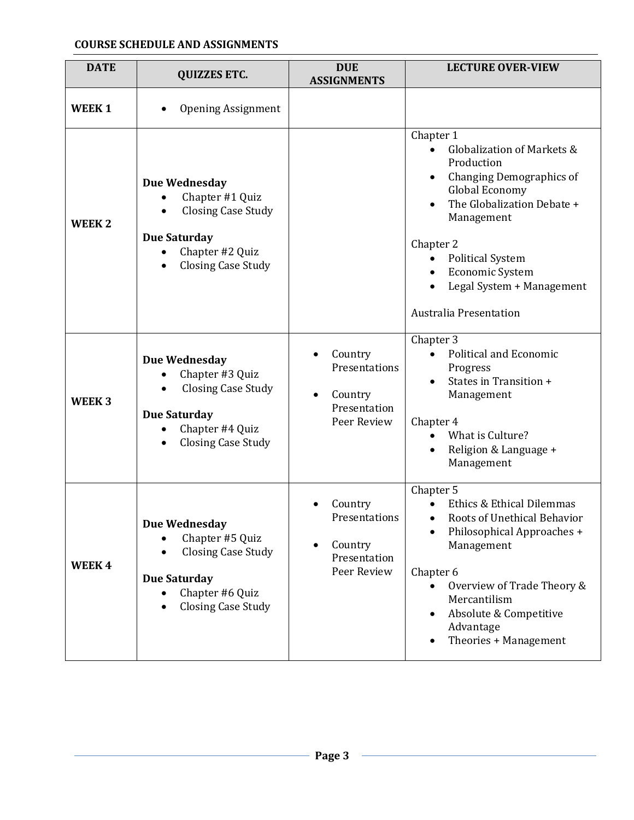## **COURSE SCHEDULE AND ASSIGNMENTS**

| <b>DATE</b>       | <b>QUIZZES ETC.</b>                                                                                                                               | <b>DUE</b><br><b>ASSIGNMENTS</b>                                   | <b>LECTURE OVER-VIEW</b>                                                                                                                                                                                                                                                                            |
|-------------------|---------------------------------------------------------------------------------------------------------------------------------------------------|--------------------------------------------------------------------|-----------------------------------------------------------------------------------------------------------------------------------------------------------------------------------------------------------------------------------------------------------------------------------------------------|
| <b>WEEK1</b>      | <b>Opening Assignment</b>                                                                                                                         |                                                                    |                                                                                                                                                                                                                                                                                                     |
| <b>WEEK2</b>      | Due Wednesday<br>Chapter #1 Quiz<br><b>Closing Case Study</b><br><b>Due Saturday</b><br>Chapter #2 Quiz<br><b>Closing Case Study</b>              |                                                                    | Chapter 1<br>Globalization of Markets &<br>$\bullet$<br>Production<br><b>Changing Demographics of</b><br>Global Economy<br>The Globalization Debate +<br>Management<br>Chapter 2<br><b>Political System</b><br><b>Economic System</b><br>Legal System + Management<br><b>Australia Presentation</b> |
| WEEK <sub>3</sub> | Due Wednesday<br>Chapter #3 Quiz<br><b>Closing Case Study</b><br><b>Due Saturday</b><br>Chapter #4 Quiz<br><b>Closing Case Study</b><br>$\bullet$ | Country<br>Presentations<br>Country<br>Presentation<br>Peer Review | Chapter $3$<br>Political and Economic<br>Progress<br>States in Transition +<br>Management<br>Chapter 4<br>What is Culture?<br>Religion & Language +<br>$\bullet$<br>Management                                                                                                                      |
| WEEK4             | <b>Due Wednesday</b><br>Chapter #5 Quiz<br><b>Closing Case Study</b><br><b>Due Saturday</b><br>Chapter #6 Quiz<br><b>Closing Case Study</b>       | Country<br>Presentations<br>Country<br>Presentation<br>Peer Review | Chapter 5<br>Ethics & Ethical Dilemmas<br>Roots of Unethical Behavior<br>Philosophical Approaches +<br>Management<br>Chapter 6<br>Overview of Trade Theory &<br>$\bullet$<br>Mercantilism<br>Absolute & Competitive<br>Advantage<br>Theories + Management                                           |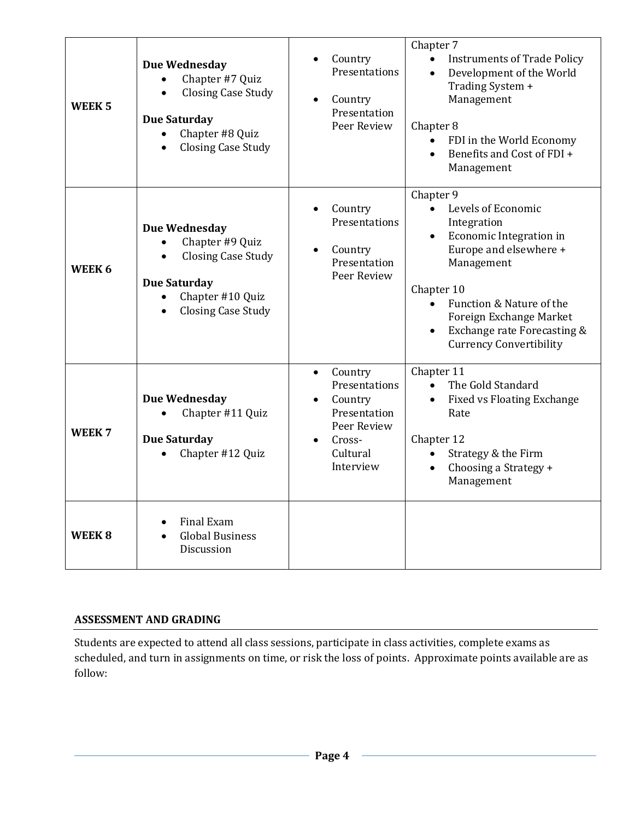| WEEK <sub>5</sub> | <b>Due Wednesday</b><br>Chapter #7 Quiz<br><b>Closing Case Study</b><br><b>Due Saturday</b><br>Chapter #8 Quiz<br><b>Closing Case Study</b> | Country<br>Presentations<br>Country<br>$\bullet$<br>Presentation<br>Peer Review                                    | Chapter 7<br><b>Instruments of Trade Policy</b><br>$\bullet$<br>Development of the World<br>$\bullet$<br>Trading System +<br>Management<br>Chapter 8<br>FDI in the World Economy<br>Benefits and Cost of FDI +<br>$\bullet$<br>Management                                                                   |
|-------------------|---------------------------------------------------------------------------------------------------------------------------------------------|--------------------------------------------------------------------------------------------------------------------|-------------------------------------------------------------------------------------------------------------------------------------------------------------------------------------------------------------------------------------------------------------------------------------------------------------|
| WEEK 6            | Due Wednesday<br>Chapter #9 Quiz<br><b>Closing Case Study</b><br><b>Due Saturday</b><br>Chapter #10 Quiz<br><b>Closing Case Study</b>       | Country<br>Presentations<br>Country<br>Presentation<br>Peer Review                                                 | Chapter 9<br>Levels of Economic<br>$\bullet$<br>Integration<br>Economic Integration in<br>$\bullet$<br>Europe and elsewhere +<br>Management<br>Chapter 10<br>Function & Nature of the<br>$\bullet$<br>Foreign Exchange Market<br>Exchange rate Forecasting &<br>$\bullet$<br><b>Currency Convertibility</b> |
| WEEK <sub>7</sub> | Due Wednesday<br>Chapter #11 Quiz<br><b>Due Saturday</b><br>Chapter #12 Quiz                                                                | Country<br>$\bullet$<br>Presentations<br>Country<br>Presentation<br>Peer Review<br>Cross-<br>Cultural<br>Interview | Chapter $11$<br>The Gold Standard<br><b>Fixed vs Floating Exchange</b><br>Rate<br>Chapter 12<br>Strategy & the Firm<br>$\bullet$<br>Choosing a Strategy +<br>$\bullet$<br>Management                                                                                                                        |
| WEEK <sub>8</sub> | Final Exam<br><b>Global Business</b><br>Discussion                                                                                          |                                                                                                                    |                                                                                                                                                                                                                                                                                                             |

## **ASSESSMENT AND GRADING**

Students are expected to attend all class sessions, participate in class activities, complete exams as scheduled, and turn in assignments on time, or risk the loss of points. Approximate points available are as follow: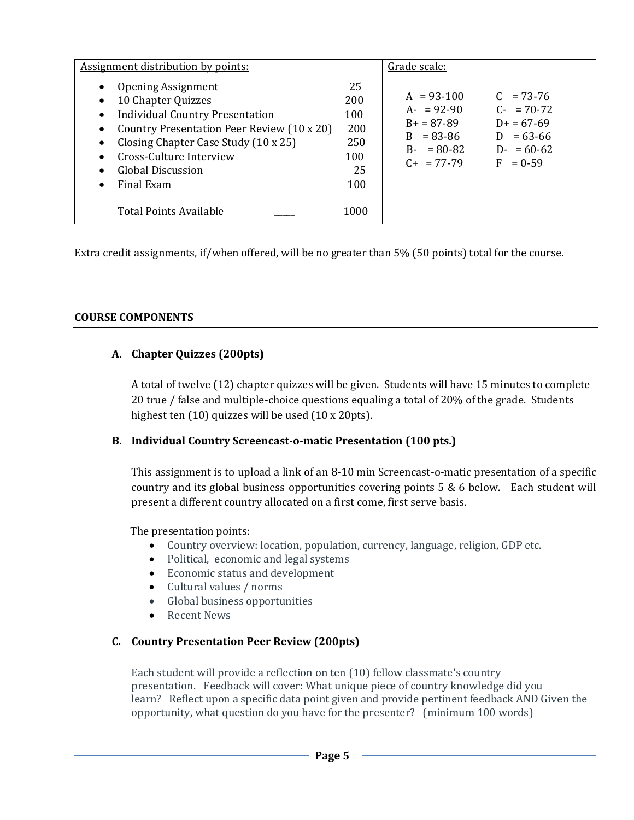| Assignment distribution by points:                                                                                                                                                                                                                                                                                                                                                                          | Grade scale:                                                                                                                                                                                                      |
|-------------------------------------------------------------------------------------------------------------------------------------------------------------------------------------------------------------------------------------------------------------------------------------------------------------------------------------------------------------------------------------------------------------|-------------------------------------------------------------------------------------------------------------------------------------------------------------------------------------------------------------------|
| 25<br><b>Opening Assignment</b><br>$\bullet$<br>10 Chapter Quizzes<br>200<br>$\bullet$<br><b>Individual Country Presentation</b><br>100<br>$\bullet$<br>200<br>Country Presentation Peer Review (10 x 20)<br>$\bullet$<br>Closing Chapter Case Study (10 x 25)<br>250<br>$\bullet$<br>Cross-Culture Interview<br>100<br>$\bullet$<br>25<br>Global Discussion<br>$\bullet$<br>Final Exam<br>100<br>$\bullet$ | $C = 73-76$<br>$A = 93-100$<br>$C - 70-72$<br>$A - 92 - 90$<br>$B + = 87 - 89$<br>$D_{+} = 67 - 69$<br>$= 83 - 86$<br>$= 63 - 66$<br>B.<br>D<br>$B - 80 - 82$<br>$D - 60-62$<br>$C_{+}$ = 77-79<br>$= 0.59$<br>F. |
| Total Points Available<br>1000                                                                                                                                                                                                                                                                                                                                                                              |                                                                                                                                                                                                                   |

Extra credit assignments, if/when offered, will be no greater than 5% (50 points) total for the course.

#### **COURSE COMPONENTS**

## **A. Chapter Quizzes (200pts)**

A total of twelve (12) chapter quizzes will be given. Students will have 15 minutes to complete 20 true / false and multiple-choice questions equaling a total of 20% of the grade. Students highest ten (10) quizzes will be used (10 x 20pts).

## **B. Individual Country Screencast-o-matic Presentation (100 pts.)**

This assignment is to upload a link of an 8-10 min Screencast-o-matic presentation of a specific country and its global business opportunities covering points 5 & 6 below. Each student will present a different country allocated on a first come, first serve basis.

#### The presentation points:

- Country overview: location, population, currency, language, religion, GDP etc.
- Political, economic and legal systems
- Economic status and development
- Cultural values / norms
- Global business opportunities
- Recent News

# **C. Country Presentation Peer Review (200pts)**

Each student will provide a reflection on ten (10) fellow classmate's country presentation. Feedback will cover: What unique piece of country knowledge did you learn? Reflect upon a specific data point given and provide pertinent feedback AND Given the opportunity, what question do you have for the presenter? (minimum 100 words)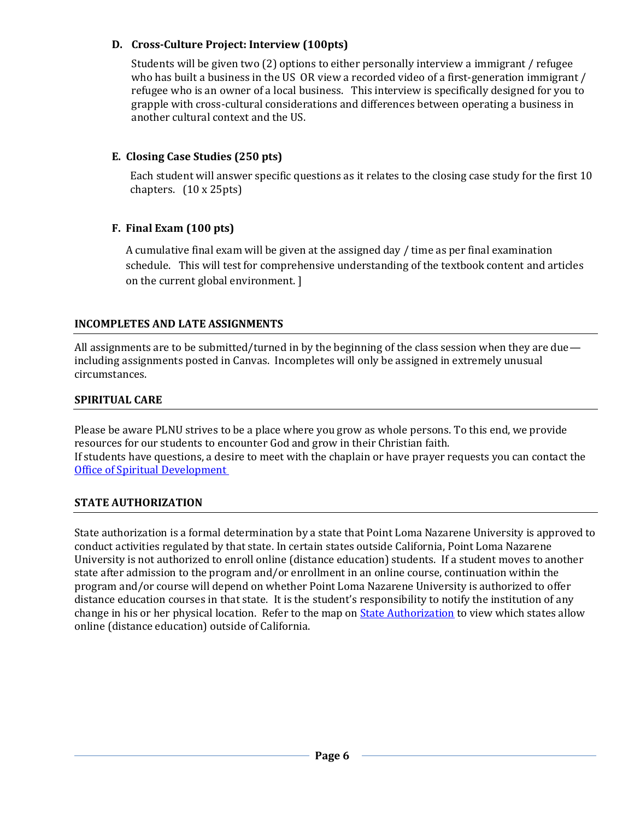## **D. Cross-Culture Project: Interview (100pts)**

Students will be given two (2) options to either personally interview a immigrant / refugee who has built a business in the US OR view a recorded video of a first-generation immigrant / refugee who is an owner of a local business. This interview is specifically designed for you to grapple with cross-cultural considerations and differences between operating a business in another cultural context and the US.

# **E. Closing Case Studies (250 pts)**

Each student will answer specific questions as it relates to the closing case study for the first 10 chapters. (10 x 25pts)

# **F. Final Exam (100 pts)**

A cumulative final exam will be given at the assigned day / time as per final examination schedule. This will test for comprehensive understanding of the textbook content and articles on the current global environment. ]

# **INCOMPLETES AND LATE ASSIGNMENTS**

All assignments are to be submitted/turned in by the beginning of the class session when they are due including assignments posted in Canvas. Incompletes will only be assigned in extremely unusual circumstances.

# **SPIRITUAL CARE**

Please be aware PLNU strives to be a place where you grow as whole persons. To this end, we provide resources for our students to encounter God and grow in their Christian faith. If students have questions, a desire to meet with the chaplain or have prayer requests you can contact the [Office of Spiritual Development](https://www.pointloma.edu/offices/spiritual-development)

# **STATE AUTHORIZATION**

State authorization is a formal determination by a state that Point Loma Nazarene University is approved to conduct activities regulated by that state. In certain states outside California, Point Loma Nazarene University is not authorized to enroll online (distance education) students. If a student moves to another state after admission to the program and/or enrollment in an online course, continuation within the program and/or course will depend on whether Point Loma Nazarene University is authorized to offer distance education courses in that state. It is the student's responsibility to notify the institution of any change in his or her physical location. Refer to the map on **State Authorization** to view which states allow online (distance education) outside of California.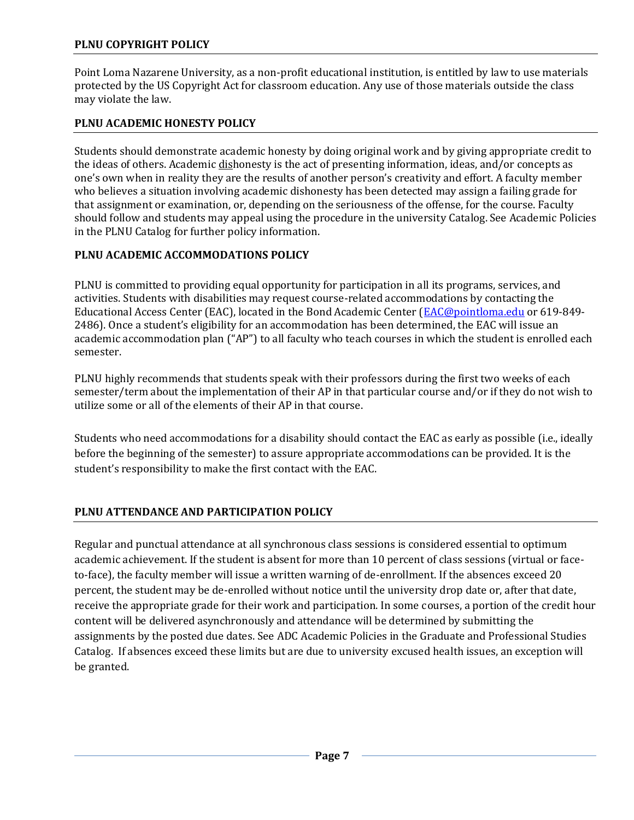#### **PLNU COPYRIGHT POLICY**

Point Loma Nazarene University, as a non-profit educational institution, is entitled by law to use materials protected by the US Copyright Act for classroom education. Any use of those materials outside the class may violate the law.

#### **PLNU ACADEMIC HONESTY POLICY**

Students should demonstrate academic honesty by doing original work and by giving appropriate credit to the ideas of others. Academic dishonesty is the act of presenting information, ideas, and/or concepts as one's own when in reality they are the results of another person's creativity and effort. A faculty member who believes a situation involving academic dishonesty has been detected may assign a failing grade for that assignment or examination, or, depending on the seriousness of the offense, for the course. Faculty should follow and students may appeal using the procedure in the university Catalog. See Academic Policies in the PLNU Catalog for further policy information.

#### **PLNU ACADEMIC ACCOMMODATIONS POLICY**

PLNU is committed to providing equal opportunity for participation in all its programs, services, and activities. Students with disabilities may request course-related accommodations by contacting the Educational Access Center (EAC), located in the Bond Academic Center [\(EAC@pointloma.edu](mailto:EAC@pointloma.edu) or 619-849- 2486). Once a student's eligibility for an accommodation has been determined, the EAC will issue an academic accommodation plan ("AP") to all faculty who teach courses in which the student is enrolled each semester.

PLNU highly recommends that students speak with their professors during the first two weeks of each semester/term about the implementation of their AP in that particular course and/or if they do not wish to utilize some or all of the elements of their AP in that course.

Students who need accommodations for a disability should contact the EAC as early as possible (i.e., ideally before the beginning of the semester) to assure appropriate accommodations can be provided. It is the student's responsibility to make the first contact with the EAC.

## **PLNU ATTENDANCE AND PARTICIPATION POLICY**

Regular and punctual attendance at all synchronous class sessions is considered essential to optimum academic achievement. If the student is absent for more than 10 percent of class sessions (virtual or faceto-face), the faculty member will issue a written warning of de-enrollment. If the absences exceed 20 percent, the student may be de-enrolled without notice until the university drop date or, after that date, receive the appropriate grade for their work and participation. In some courses, a portion of the credit hour content will be delivered asynchronously and attendance will be determined by submitting the assignments by the posted due dates. See [ADC Academic Policies in the Graduate and Professional Studies](https://catalog.pointloma.edu/content.php?catoid=54&navoid=3033#acadhonesty)  [Catalog.](https://catalog.pointloma.edu/content.php?catoid=54&navoid=3033#acadhonesty) If absences exceed these limits but are due to university excused health issues, an exception will be granted.